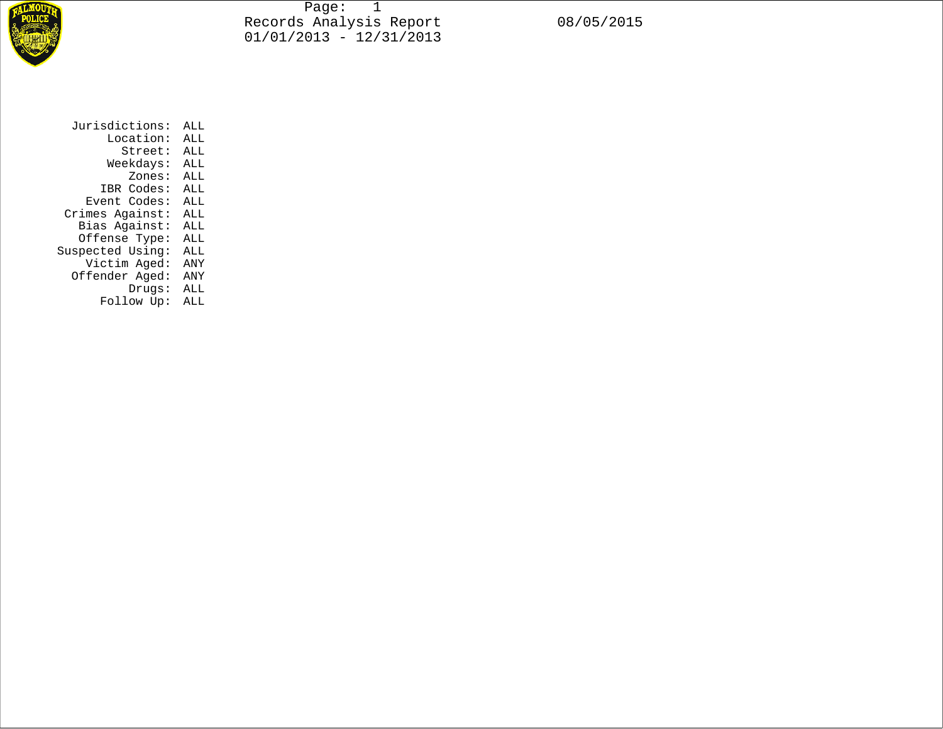

Page: 1 Records Analysis Report 08/05/2015 01/01/2013 - 12/31/2013

| Jurisdictions:   | ALL |
|------------------|-----|
| Location:        | ALL |
| Street:          | ALL |
| Weekdays:        | ALL |
| Zones:           | ALL |
| IBR Codes:       | ALL |
| Event Codes:     | ALL |
| Crimes Against:  | ALL |
| Bias Against:    | ALL |
| Offense Type:    | ALL |
| Suspected Using: | ALL |
| Victim Aged:     | ANY |
| Offender Aged:   | ANY |
| Drugs:           | ALL |
| Follow Up:       | ALL |